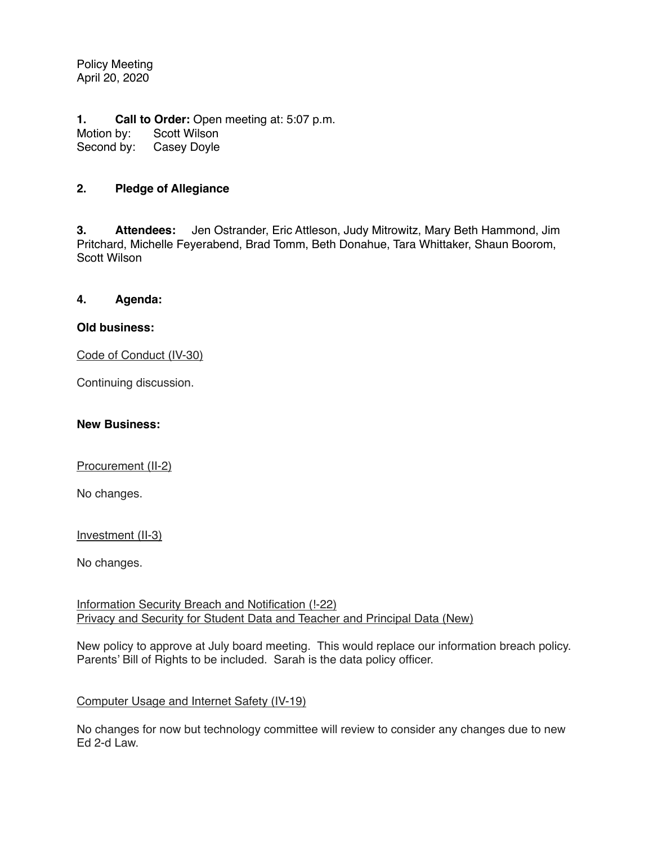Policy Meeting April 20, 2020

**1. Call to Order:** Open meeting at: 5:07 p.m. Motion by: Scott Wilson Second by: Casey Doyle

### **2. Pledge of Allegiance**

**3. Attendees:** Jen Ostrander, Eric Attleson, Judy Mitrowitz, Mary Beth Hammond, Jim Pritchard, Michelle Feyerabend, Brad Tomm, Beth Donahue, Tara Whittaker, Shaun Boorom, Scott Wilson

### **4. Agenda:**

### **Old business:**

Code of Conduct (IV-30)

Continuing discussion.

### **New Business:**

Procurement (II-2)

No changes.

Investment (II-3)

No changes.

Information Security Breach and Notification (!-22) Privacy and Security for Student Data and Teacher and Principal Data (New)

New policy to approve at July board meeting. This would replace our information breach policy. Parents' Bill of Rights to be included. Sarah is the data policy officer.

#### Computer Usage and Internet Safety (IV-19)

No changes for now but technology committee will review to consider any changes due to new Ed 2-d Law.